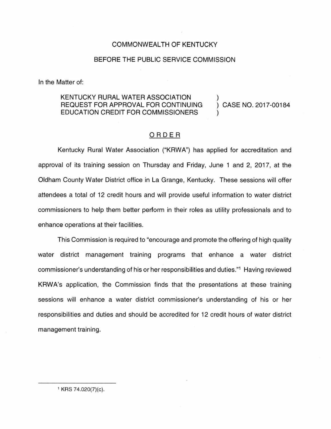## COMMONWEALTH OF KENTUCKY

## BEFORE THE PUBLIC SERVICE COMMISSION

In the Matter of:

## KENTUCKY RURAL WATER ASSOCIATION REQUEST FOR APPROVAL FOR CONTINUING EDUCATION CREDIT FOR COMMISSIONERS

) CASE NO. 2017-00184

)

)

## ORDER

Kentucky Rural Water Association ("KRWA") has applied for accreditation and approval of its training session on Thursday and Friday, June 1 and 2, 2017, at the Oldham County Water District office in La Grange, Kentucky. These sessions will offer attendees a total of 12 credit hours and will provide useful information to water district commissioners to help them better perform in their roles as utility professionals and to enhance operations at their facilities.

This Commission is required to "encourage and promote the offering of high quality water district management training programs that enhance a water district commissioner's understanding of his or her responsibilities and duties."1 Having reviewed KRWA's application, the Commission finds that the presentations at these training sessions will enhance a water district commissioner's understanding of his or her responsibilities and duties and should be accredited for 12 credit hours of water district management training.

1 KRS 74.020(7)(c).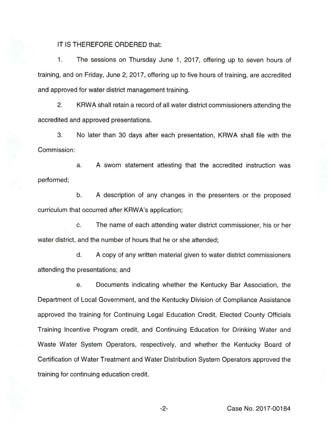IT IS THEREFORE ORDERED that:

1. The sessions on Thursday June 1, 2017, offering up to seven hours of training, and on Friday, June 2, 2017, offering up to five hours of training, are accredited and approved for water district management training.

2. KRWA shall retain a record of all water district commissioners attending the accredited and approved presentations.

3. No later than 30 days after each presentation, KRWA shall file with the Commission:

a. A sworn statement attesting that the accredited instruction was performed;

b. A description of any changes in the presenters or the proposed curriculum that occurred after KRWA's application;

c. The name of each attending water district commissioner, his or her water district, and the number of hours that he or she attended;

d. A copy of any written material given to water district commissioners attending the presentations; and

e. Documents indicating whether the Kentucky Bar Association, the Department of Local Government, and the Kentucky Division of Compliance Assistance approved the training for Continuing Legal Education Credit, Elected County Officials Training Incentive Program credit, and Continuing Education for Drinking Water and Waste Water System Operators, respectively, and whether the Kentucky Board of Certification of Water Treatment and Water Distribution System Operators approved the training for continuing education credit.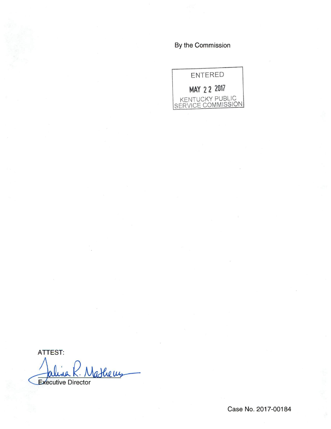By the Commission



ATTEST: athems Executive Director

Case No. 2017-00184